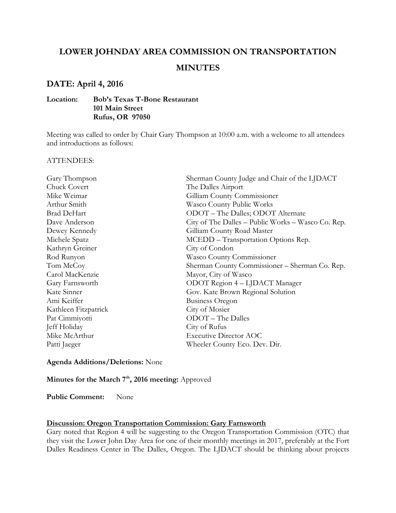# **LOWER JOHNDAY AREA COMMISSION ON TRANSPORTATION**

# **MINUTES**

## **DATE: April 4, 2016**

#### **Location: Bob's Texas T-Bone Restaurant 101 Main Street Rufus, OR 97050**

Meeting was called to order by Chair Gary Thompson at 10:00 a.m. with a welcome to all attendees and introductions as follows:

#### ATTENDEES:

| Chuck Covert<br>The Dalles Airport                                  |
|---------------------------------------------------------------------|
|                                                                     |
| Mike Weimar<br>Gilliam County Commissioner                          |
| Arthur Smith<br>Wasco County Public Works                           |
| <b>Brad DeHart</b><br>ODOT – The Dalles; ODOT Alternate             |
| Dave Anderson<br>City of The Dalles – Public Works – Wasco Co. Rep. |
| Gilliam County Road Master<br>Dewey Kennedy                         |
| Michele Spatz<br>MCEDD – Transportation Options Rep.                |
| City of Condon<br>Kathryn Greiner                                   |
| Rod Runyon<br>Wasco County Commissioner                             |
| Sherman County Commissioner - Sherman Co. Rep.<br>Tom McCoy         |
| Carol MacKenzie<br>Mayor, City of Wasco                             |
| ODOT Region 4 - LJDACT Manager<br>Gary Farnsworth                   |
| Kate Sinner<br>Gov. Kate Brown Regional Solution                    |
| Ami Keiffer<br><b>Business Oregon</b>                               |
| Kathleen Fitzpatrick<br>City of Mosier                              |
| ODOT – The Dalles<br>Pat Cimmiyotti                                 |
| Jeff Holiday<br>City of Rufus                                       |
| <b>Executive Director AOC</b><br>Mike McArthur                      |
| Patti Jaeger<br>Wheeler County Eco. Dev. Dir.                       |

#### **Agenda Additions/Deletions:** None

# **Minutes for the March 7th, 2016 meeting:** Approved

**Public Comment:** None

#### **Discussion: Oregon Transportation Commission: Gary Farnsworth**

Gary noted that Region 4 will be suggesting to the Oregon Transportation Commission (OTC) that they visit the Lower John Day Area for one of their monthly meetings in 2017, preferably at the Fort Dalles Readiness Center in The Dalles, Oregon. The LJDACT should be thinking about projects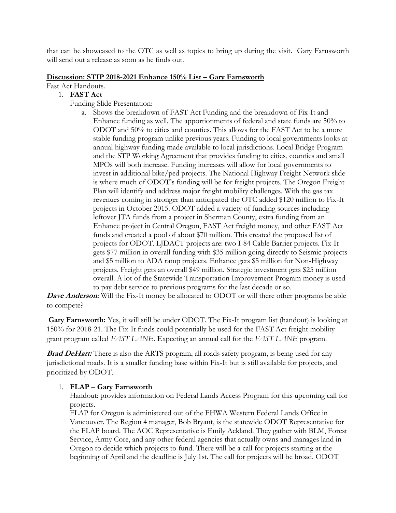that can be showcased to the OTC as well as topics to bring up during the visit. Gary Farnsworth will send out a release as soon as he finds out.

#### **Discussion: STIP 2018-2021 Enhance 150% List – Gary Farnsworth**

Fast Act Handouts.

#### 1. **FAST Act**

- Funding Slide Presentation:
	- a. Shows the breakdown of FAST Act Funding and the breakdown of Fix-It and Enhance funding as well. The apportionments of federal and state funds are 50% to ODOT and 50% to cities and counties. This allows for the FAST Act to be a more stable funding program unlike previous years. Funding to local governments looks at annual highway funding made available to local jurisdictions. Local Bridge Program and the STP Working Agreement that provides funding to cities, counties and small MPOs will both increase. Funding increases will allow for local governments to invest in additional bike/ped projects. The National Highway Freight Network slide is where much of ODOT's funding will be for freight projects. The Oregon Freight Plan will identify and address major freight mobility challenges. With the gas tax revenues coming in stronger than anticipated the OTC added \$120 million to Fix-It projects in October 2015. ODOT added a variety of funding sources including leftover JTA funds from a project in Sherman County, extra funding from an Enhance project in Central Oregon, FAST Act freight money, and other FAST Act funds and created a pool of about \$70 million. This created the proposed list of projects for ODOT. LJDACT projects are: two I-84 Cable Barrier projects. Fix-It gets \$77 million in overall funding with \$35 million going directly to Seismic projects and \$5 million to ADA ramp projects. Enhance gets \$5 million for Non-Highway projects. Freight gets an overall \$49 million. Strategic investment gets \$25 million overall. A lot of the Statewide Transportation Improvement Program money is used to pay debt service to previous programs for the last decade or so.

**Dave Anderson:** Will the Fix-It money be allocated to ODOT or will there other programs be able to compete?

**Gary Farnsworth:** Yes, it will still be under ODOT. The Fix-It program list (handout) is looking at 150% for 2018-21. The Fix-It funds could potentially be used for the FAST Act freight mobility grant program called *FAST LANE*. Expecting an annual call for the *FAST LANE* program.

**Brad DeHart:** There is also the ARTS program, all roads safety program, is being used for any jurisdictional roads. It is a smaller funding base within Fix-It but is still available for projects, and prioritized by ODOT.

## 1. **FLAP – Gary Farnsworth**

Handout: provides information on Federal Lands Access Program for this upcoming call for projects.

FLAP for Oregon is administered out of the FHWA Western Federal Lands Office in Vancouver. The Region 4 manager, Bob Bryant, is the statewide ODOT Representative for the FLAP board. The AOC Representative is Emily Ackland. They gather with BLM, Forest Service, Army Core, and any other federal agencies that actually owns and manages land in Oregon to decide which projects to fund. There will be a call for projects starting at the beginning of April and the deadline is July 1st. The call for projects will be broad. ODOT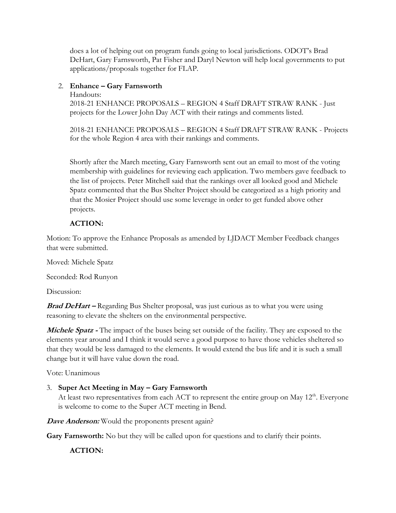does a lot of helping out on program funds going to local jurisdictions. ODOT's Brad DeHart, Gary Farnsworth, Pat Fisher and Daryl Newton will help local governments to put applications/proposals together for FLAP.

## 2. **Enhance – Gary Farnsworth**

Handouts:

2018-21 ENHANCE PROPOSALS – REGION 4 Staff DRAFT STRAW RANK - Just projects for the Lower John Day ACT with their ratings and comments listed.

2018-21 ENHANCE PROPOSALS – REGION 4 Staff DRAFT STRAW RANK - Projects for the whole Region 4 area with their rankings and comments.

Shortly after the March meeting, Gary Farnsworth sent out an email to most of the voting membership with guidelines for reviewing each application. Two members gave feedback to the list of projects. Peter Mitchell said that the rankings over all looked good and Michele Spatz commented that the Bus Shelter Project should be categorized as a high priority and that the Mosier Project should use some leverage in order to get funded above other projects.

## **ACTION:**

Motion: To approve the Enhance Proposals as amended by LJDACT Member Feedback changes that were submitted.

Moved: Michele Spatz

Seconded: Rod Runyon

Discussion:

**Brad DeHart –** Regarding Bus Shelter proposal, was just curious as to what you were using reasoning to elevate the shelters on the environmental perspective.

**Michele Spatz -** The impact of the buses being set outside of the facility. They are exposed to the elements year around and I think it would serve a good purpose to have those vehicles sheltered so that they would be less damaged to the elements. It would extend the bus life and it is such a small change but it will have value down the road.

Vote: Unanimous

## 3. **Super Act Meeting in May – Gary Farnsworth**

At least two representatives from each ACT to represent the entire group on May 12<sup>th</sup>. Everyone is welcome to come to the Super ACT meeting in Bend.

**Dave Anderson:** Would the proponents present again?

**Gary Farnsworth:** No but they will be called upon for questions and to clarify their points.

## **ACTION:**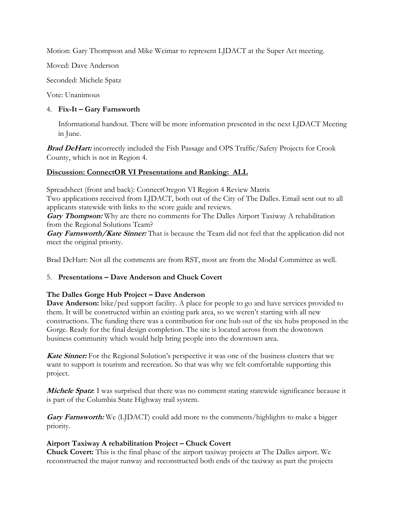Motion: Gary Thompson and Mike Weimar to represent LJDACT at the Super Act meeting.

Moved: Dave Anderson

Seconded: Michele Spatz

Vote: Unanimous

## 4. **Fix-It – Gary Farnsworth**

Informational handout. There will be more information presented in the next LJDACT Meeting in June.

**Brad DeHart:** incorrectly included the Fish Passage and OPS Traffic/Safety Projects for Crook County, which is not in Region 4.

## **Discussion: ConnectOR VI Presentations and Ranking: ALL**

Spreadsheet (front and back): ConnectOregon VI Region 4 Review Matrix

Two applications received from LJDACT, both out of the City of The Dalles. Email sent out to all applicants statewide with links to the score guide and reviews.

**Gary Thompson:** Why are there no comments for The Dalles Airport Taxiway A rehabilitation from the Regional Solutions Team?

**Gary Farnsworth/Kate Sinner:** That is because the Team did not feel that the application did not meet the original priority.

Brad DeHart: Not all the comments are from RST, most are from the Modal Committee as well.

# 5. **Presentations – Dave Anderson and Chuck Covert**

# **The Dalles Gorge Hub Project – Dave Anderson**

**Dave Anderson:** bike/ped support facility. A place for people to go and have services provided to them. It will be constructed within an existing park area, so we weren't starting with all new constructions. The funding there was a contribution for one hub out of the six hubs proposed in the Gorge. Ready for the final design completion. The site is located across from the downtown business community which would help bring people into the downtown area.

Kate Sinner: For the Regional Solution's perspective it was one of the business clusters that we want to support is tourism and recreation. So that was why we felt comfortable supporting this project.

**Michele Spatz**: I was surprised that there was no comment stating statewide significance because it is part of the Columbia State Highway trail system.

**Gary Farnsworth:** We (LJDACT) could add more to the comments/highlights to make a bigger priority.

# **Airport Taxiway A rehabilitation Project – Chuck Covert**

**Chuck Covert:** This is the final phase of the airport taxiway projects at The Dalles airport. We reconstructed the major runway and reconstructed both ends of the taxiway as part the projects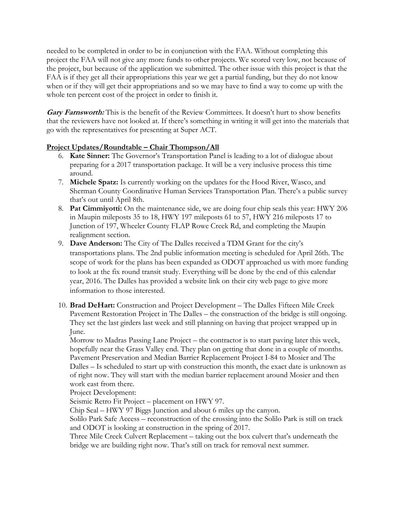needed to be completed in order to be in conjunction with the FAA. Without completing this project the FAA will not give any more funds to other projects. We scored very low, not because of the project, but because of the application we submitted. The other issue with this project is that the FAA is if they get all their appropriations this year we get a partial funding, but they do not know when or if they will get their appropriations and so we may have to find a way to come up with the whole ten percent cost of the project in order to finish it.

**Gary Farnsworth:** This is the benefit of the Review Committees. It doesn't hurt to show benefits that the reviewers have not looked at. If there's something in writing it will get into the materials that go with the representatives for presenting at Super ACT.

#### **Project Updates/Roundtable – Chair Thompson/All**

- 6. **Kate Sinner:** The Governor's Transportation Panel is leading to a lot of dialogue about preparing for a 2017 transportation package. It will be a very inclusive process this time around.
- 7. **Michele Spatz:** Is currently working on the updates for the Hood River, Wasco, and Sherman County Coordinative Human Services Transportation Plan. There's a public survey that's out until April 8th.
- 8. **Pat Cimmiyotti:** On the maintenance side, we are doing four chip seals this year: HWY 206 in Maupin mileposts 35 to 18, HWY 197 mileposts 61 to 57, HWY 216 mileposts 17 to Junction of 197, Wheeler County FLAP Rowe Creek Rd, and completing the Maupin realignment section.
- 9. **Dave Anderson:** The City of The Dalles received a TDM Grant for the city's transportations plans. The 2nd public information meeting is scheduled for April 26th. The scope of work for the plans has been expanded as ODOT approached us with more funding to look at the fix round transit study. Everything will be done by the end of this calendar year, 2016. The Dalles has provided a website link on their city web page to give more information to those interested.
- 10. **Brad DeHart:** Construction and Project Development The Dalles Fifteen Mile Creek Pavement Restoration Project in The Dalles – the construction of the bridge is still ongoing. They set the last girders last week and still planning on having that project wrapped up in June.

Morrow to Madras Passing Lane Project – the contractor is to start paving later this week, hopefully near the Grass Valley end. They plan on getting that done in a couple of months. Pavement Preservation and Median Barrier Replacement Project I-84 to Mosier and The Dalles – Is scheduled to start up with construction this month, the exact date is unknown as of right now. They will start with the median barrier replacement around Mosier and then work east from there.

Project Development:

Seismic Retro Fit Project – placement on HWY 97.

Chip Seal – HWY 97 Biggs Junction and about 6 miles up the canyon.

Solilo Park Safe Access – reconstruction of the crossing into the Solilo Park is still on track and ODOT is looking at construction in the spring of 2017.

Three Mile Creek Culvert Replacement – taking out the box culvert that's underneath the bridge we are building right now. That's still on track for removal next summer.